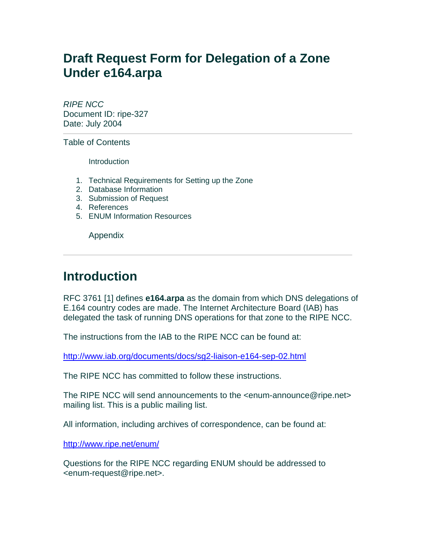## **Draft Request Form for Delegation of a Zone Under e164.arpa**

*RIPE NCC* Document ID: ripe-327 Date: July 2004

Table of Contents

**Introduction** 

- 1. Technical Requirements for Setting up the Zone
- 2. Database Information
- 3. Submission of Request
- 4. References
- 5. ENUM Information Resources

Appendix

## **Introduction**

RFC 3761 [1] defines **e164.arpa** as the domain from which DNS delegations of E.164 country codes are made. The Internet Architecture Board (IAB) has delegated the task of running DNS operations for that zone to the RIPE NCC.

The instructions from the IAB to the RIPE NCC can be found at:

<http://www.iab.org/documents/docs/sg2-liaison-e164-sep-02.html>

The RIPE NCC has committed to follow these instructions.

The RIPE NCC will send announcements to the <enum-announce@ripe.net> mailing list. This is a public mailing list.

All information, including archives of correspondence, can be found at:

<http://www.ripe.net/enum/>

Questions for the RIPE NCC regarding ENUM should be addressed to <enum-request@ripe.net>.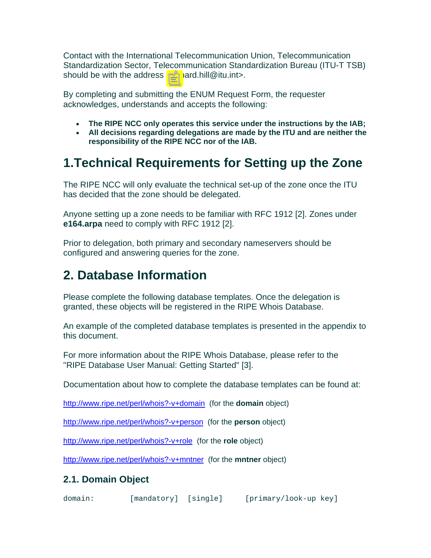Contact with the International Telecommunication Union, Telecommunication Standardization Sector, Telecommunication Standardization Bureau (ITU-T TSB) should be with the address <richard.hill@itu.int>.

By completing and submitting the ENUM Request Form, the requester acknowledges, understands and accepts the following:

- **The RIPE NCC only operates this service under the instructions by the IAB;**
- **All decisions regarding delegations are made by the ITU and are neither the responsibility of the RIPE NCC nor of the IAB.**

# **1.Technical Requirements for Setting up the Zone**

The RIPE NCC will only evaluate the technical set-up of the zone once the ITU has decided that the zone should be delegated.

Anyone setting up a zone needs to be familiar with RFC 1912 [2]. Zones under **e164.arpa** need to comply with RFC 1912 [2].

Prior to delegation, both primary and secondary nameservers should be configured and answering queries for the zone.

# **2. Database Information**

Please complete the following database templates. Once the delegation is granted, these objects will be registered in the RIPE Whois Database.

An example of the completed database templates is presented in the appendix to this document.

For more information about the RIPE Whois Database, please refer to the "RIPE Database User Manual: Getting Started" [3].

Documentation about how to complete the database templates can be found at:

<http://www.ripe.net/perl/whois?-v+domain> (for the **domain** object)

<http://www.ripe.net/perl/whois?-v+person>(for the **person** object)

<http://www.ripe.net/perl/whois?-v+role>(for the **role** object)

<http://www.ripe.net/perl/whois?-v+mntner>(for the **mntner** object)

### **2.1. Domain Object**

domain: [mandatory] [single] [primary/look-up key]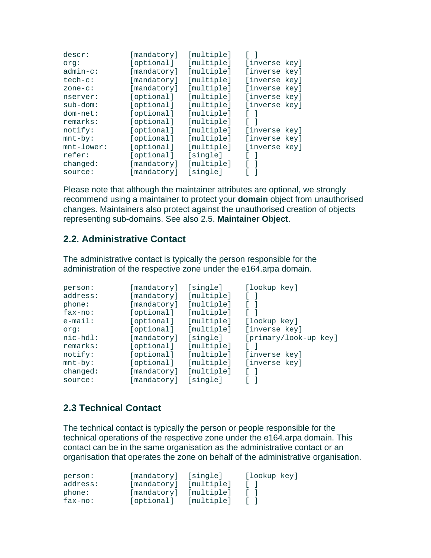| descr:        | [mandatory] | [multiple] |               |
|---------------|-------------|------------|---------------|
| org:          | [optional]  | [multiple] | [inverse key] |
| $admin-c$ :   | [mandatory] | [multiple] | [inverse key] |
| $tech-c$ :    | [mandatory] | [multiple] | [inverse key] |
| $zone-c$ :    | [mandatory] | [multiple] | [inverse key] |
| nserver:      | [optional]  | [multiple] | [inverse key] |
| $sub-down:$   | [optional]  | [multiple] | [inverse key] |
| $dom-net:$    | [optional]  | [multiple] |               |
| remarks:      | [optional]  | [multiple] |               |
| notify:       | [optional]  | [multiple] | [inverse key] |
| $mnt-by$ :    | [optional]  | [multiple] | [inverse key] |
| $mnt-lower$ : | [optional]  | [multiple] | [inverse key] |
| refer:        | [optional]  | [single]   |               |
| changed:      | [mandatory] | [multiple] |               |
| source:       | [mandatory] | [single]   |               |

Please note that although the maintainer attributes are optional, we strongly recommend using a maintainer to protect your **domain** object from unauthorised changes. Maintainers also protect against the unauthorised creation of objects representing sub-domains. See also 2.5. **Maintainer Object**.

#### **2.2. Administrative Contact**

The administrative contact is typically the person responsible for the administration of the respective zone under the e164.arpa domain.

| person:    | [mandatory] | [single]   | [lookup key]          |
|------------|-------------|------------|-----------------------|
| address:   | [mandatory] | [multiple] |                       |
| phone:     | [mandatory] | [multiple] |                       |
| $fax-no:$  | [optional]  | [multiple] |                       |
| $e$ -mail: | [optional]  | [multiple] | [lookup key]          |
| org:       | [optional]  | [multiple] | [inverse key]         |
|            |             |            |                       |
| nic-hdl:   | [mandatory] | [single]   | [primary/look-up key] |
| remarks:   | [optional]  | [multiple] |                       |
| notify:    | [optional]  | [multiple] | [inverse key]         |
| $mnt-by$ : | [optional]  | [multiple] | [inverse key]         |
| changed:   | [mandatory] | [multiple] |                       |

### **2.3 Technical Contact**

The technical contact is typically the person or people responsible for the technical operations of the respective zone under the e164.arpa domain. This contact can be in the same organisation as the administrative contact or an organisation that operates the zone on behalf of the administrative organisation.

| person:   | [mandatory] [single] |            | [lookup key] |
|-----------|----------------------|------------|--------------|
| address:  | [mandatory]          | [multiple] |              |
| phone:    | [mandatory]          | [multiple] |              |
| $fax-no:$ | [optional]           | [multiple] |              |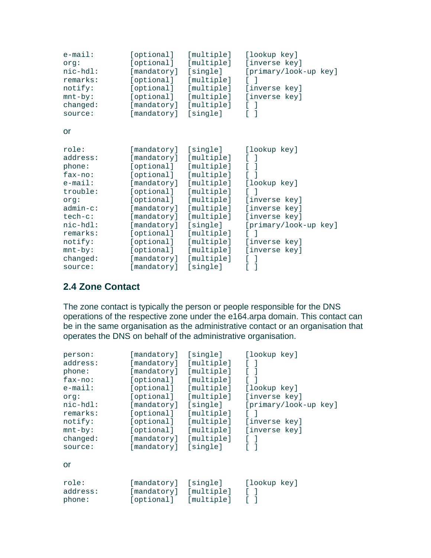| $e$ -mail:<br>org:<br>$nic-hdl$ :<br>remarks:<br>notify:<br>$mnt-by$ :<br>changed: | [optional]<br>[optional]<br>[mandatory]<br>[optional]<br>[optional]<br>[optional]<br>[mandatory] | [multiple]<br>[multiple]<br>[single]<br>[multiple]<br>[multiple]<br>[multiple]<br>[multiple] | [lookup key]<br>[inverse key]<br>[primary/look-up key]<br>$\lceil$ 1<br>[inverse key]<br>[inverse key]<br>- 1<br>T.<br>L |
|------------------------------------------------------------------------------------|--------------------------------------------------------------------------------------------------|----------------------------------------------------------------------------------------------|--------------------------------------------------------------------------------------------------------------------------|
| source:                                                                            | [mandatory]                                                                                      | [single]                                                                                     | $\lceil$                                                                                                                 |
| or                                                                                 |                                                                                                  |                                                                                              |                                                                                                                          |
| role:                                                                              | [mandatory]                                                                                      | [single]                                                                                     | [lookup key]                                                                                                             |
| address:                                                                           | [mandatory]                                                                                      | [multiple]                                                                                   | L<br>-1                                                                                                                  |
| phone:                                                                             | [optional]                                                                                       | [multiple]                                                                                   | L<br>-1                                                                                                                  |
| $fax-no:$                                                                          | [optional]                                                                                       | [multiple]                                                                                   | Г                                                                                                                        |
|                                                                                    |                                                                                                  |                                                                                              |                                                                                                                          |
| $e$ -mail:                                                                         | [mandatory]                                                                                      | [multiple]                                                                                   | [lookup key]                                                                                                             |
| trouble:                                                                           | [optional]                                                                                       | [multiple]                                                                                   | $\lceil$ 1                                                                                                               |
| org:                                                                               | [optional]                                                                                       | [multiple]                                                                                   | [inverse key]                                                                                                            |
| $admin-c$ :                                                                        | [mandatory]                                                                                      | [multiple]                                                                                   | [inverse key]                                                                                                            |
| tech-c:                                                                            | [mandatory]                                                                                      | [multiple]                                                                                   | [inverse key]                                                                                                            |
| $nic-hdl$ :                                                                        | [mandatory]                                                                                      | [single]                                                                                     | [primary/look-up key]                                                                                                    |
| remarks:                                                                           | [optional]                                                                                       | [multiple]                                                                                   | $\lceil$ 1                                                                                                               |
| notify:                                                                            | [optional]                                                                                       | [multiple]                                                                                   | [inverse key]                                                                                                            |
| $mnt-by$ :                                                                         | [optional]                                                                                       | [multiple]                                                                                   | [inverse key]                                                                                                            |
| changed:                                                                           | [mandatory]                                                                                      | [multiple]                                                                                   | -1<br>L                                                                                                                  |
| source:                                                                            | [mandatory]                                                                                      | [single]                                                                                     | E<br>1                                                                                                                   |

### **2.4 Zone Contact**

The zone contact is typically the person or people responsible for the DNS operations of the respective zone under the e164.arpa domain. This contact can be in the same organisation as the administrative contact or an organisation that operates the DNS on behalf of the administrative organisation.

| person:     | [mandatory] | [single]   | [lookup key]          |
|-------------|-------------|------------|-----------------------|
| address:    | [mandatory] | [multiple] | $\Box$                |
| phone:      | [mandatory] | [multiple] | $\sqrt{ }$            |
| $fax-no:$   | [optional]  | [multiple] |                       |
| $e$ -mail:  | [optional]  | [multiple] | [lookup key]          |
| orq:        | [optional]  | [multiple] | [inverse key]         |
| $nic-hdl$ : | [mandatory] | [single]   | [primary/look-up key] |
| remarks:    | [optional]  | [multiple] |                       |
| notify:     | [optional]  | [multiple] | [inverse key]         |
| $mnt-by$ :  | [optional]  | [multiple] | [inverse key]         |
| changed:    | [mandatory] | [multiple] | $\Box$                |
| source:     | [mandatory] | [single]   | $\lceil$ 1            |
| or          |             |            |                       |
| role:       | [mandatory] | [single]   | [lookup key]          |
| address:    | [mandatory] | [multiple] |                       |
| phone:      | [optional]  | [multiple] |                       |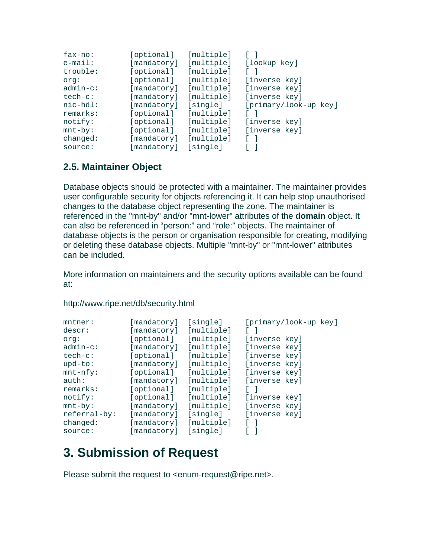| $fax-no:$   | [optional]  | [multiple] |                       |
|-------------|-------------|------------|-----------------------|
| $e$ -mail:  | [mandatory] | [multiple] | [lookup key]          |
| trouble:    | [optional]  | [multiple] |                       |
| org:        | [optional]  | [multiple] | [inverse key]         |
| $admin-c$ : | [mandatory] | [multiple] | [inverse key]         |
| $tech-c$ :  | [mandatory] | [multiple] | [inverse key]         |
|             |             |            |                       |
| $nic-hdl$ : | [mandatory] | [single]   | [primary/look-up key] |
| remarks:    | [optional]  | [multiple] |                       |
| notify:     | [optional]  | [multiple] | [inverse key]         |
| $mnt-by$ :  | [optional]  | [multiple] | [inverse key]         |
| changed:    | [mandatory] | [multiple] |                       |

### **2.5. Maintainer Object**

Database objects should be protected with a maintainer. The maintainer provides user configurable security for objects referencing it. It can help stop unauthorised changes to the database object representing the zone. The maintainer is referenced in the "mnt-by" and/or "mnt-lower" attributes of the **domain** object. It can also be referenced in "person:" and "role:" objects. The maintainer of database objects is the person or organisation responsible for creating, modifying or deleting these database objects. Multiple "mnt-by" or "mnt-lower" attributes can be included.

More information on maintainers and the security options available can be found at:

| mntner:<br>descr:<br>org:<br>$admin-c$ :<br>$tech-c$ : | [mandatory]<br>[mandatory]<br>[optional]<br>[mandatory]<br>[optional] | [single]<br>[multiple]<br>[multiple]<br>[multiple]<br>[multiple] | [primary/look-up key]<br>[inverse key]<br>[inverse key]<br>[inverse key] |
|--------------------------------------------------------|-----------------------------------------------------------------------|------------------------------------------------------------------|--------------------------------------------------------------------------|
| $upd-to$ :                                             | [mandatory]                                                           | [multiple]                                                       | [inverse key]                                                            |
| $mnt-nfy$ :                                            | [optional]                                                            | [multiple]                                                       | [inverse key]                                                            |
| auth:                                                  | [mandatory]                                                           | [multiple]                                                       | [inverse key]                                                            |
| remarks:                                               | [optional]                                                            | [multiple]                                                       |                                                                          |
| notify:                                                | [optional]                                                            | [multiple]                                                       | [inverse key]                                                            |
| $mnt-by$ :                                             | [mandatory]                                                           | [multiple]                                                       | [inverse key]                                                            |
| referral-by:                                           | [mandatory]                                                           | [single]                                                         | [inverse key]                                                            |
| changed:                                               | [mandatory]                                                           | [multiple]                                                       |                                                                          |
| source:                                                | mandatory]                                                            | [single]                                                         |                                                                          |

http://www.ripe.net/db/security.html

# **3. Submission of Request**

Please submit the request to <enum-request@ripe.net>.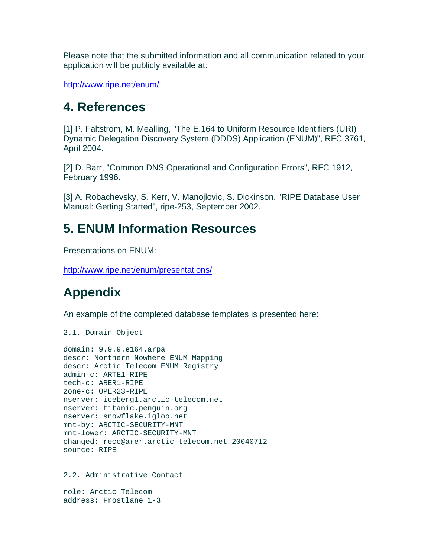Please note that the submitted information and all communication related to your application will be publicly available at:

<http://www.ripe.net/enum/>

### **4. References**

[1] P. Faltstrom, M. Mealling, "The E.164 to Uniform Resource Identifiers (URI) Dynamic Delegation Discovery System (DDDS) Application (ENUM)", RFC 3761, April 2004.

[2] D. Barr, "Common DNS Operational and Configuration Errors", RFC 1912, February 1996.

[3] A. Robachevsky, S. Kerr, V. Manojlovic, S. Dickinson, "RIPE Database User Manual: Getting Started", ripe-253, September 2002.

## **5. ENUM Information Resources**

Presentations on ENUM:

<http://www.ripe.net/enum/presentations/>

# **Appendix**

An example of the completed database templates is presented here:

2.1. Domain Object

```
domain: 9.9.9.e164.arpa 
descr: Northern Nowhere ENUM Mapping 
descr: Arctic Telecom ENUM Registry 
admin-c: ARTE1-RIPE 
tech-c: ARER1-RIPE 
zone-c: OPER23-RIPE 
nserver: iceberg1.arctic-telecom.net 
nserver: titanic.penguin.org 
nserver: snowflake.igloo.net 
mnt-by: ARCTIC-SECURITY-MNT 
mnt-lower: ARCTIC-SECURITY-MNT 
changed: reco@arer.arctic-telecom.net 20040712 
source: RIPE
```
2.2. Administrative Contact

```
role: Arctic Telecom 
address: Frostlane 1-3
```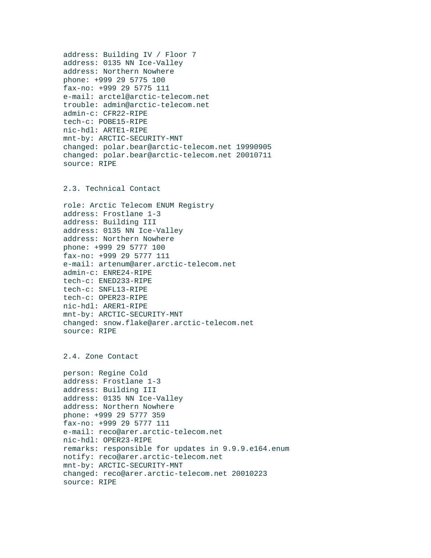```
address: Building IV / Floor 7 
address: 0135 NN Ice-Valley 
address: Northern Nowhere 
phone: +999 29 5775 100 
fax-no: +999 29 5775 111 
e-mail: arctel@arctic-telecom.net 
trouble: admin@arctic-telecom.net 
admin-c: CFR22-RIPE 
tech-c: POBE15-RIPE 
nic-hdl: ARTE1-RIPE 
mnt-by: ARCTIC-SECURITY-MNT 
changed: polar.bear@arctic-telecom.net 19990905 
changed: polar.bear@arctic-telecom.net 20010711 
source: RIPE
```
#### 2.3. Technical Contact

```
role: Arctic Telecom ENUM Registry 
address: Frostlane 1-3 
address: Building III 
address: 0135 NN Ice-Valley 
address: Northern Nowhere 
phone: +999 29 5777 100 
fax-no: +999 29 5777 111 
e-mail: artenum@arer.arctic-telecom.net 
admin-c: ENRE24-RIPE 
tech-c: ENED233-RIPE 
tech-c: SNFL13-RIPE 
tech-c: OPER23-RIPE 
nic-hdl: ARER1-RIPE 
mnt-by: ARCTIC-SECURITY-MNT 
changed: snow.flake@arer.arctic-telecom.net 
source: RIPE
```
#### 2.4. Zone Contact

```
person: Regine Cold 
address: Frostlane 1-3 
address: Building III 
address: 0135 NN Ice-Valley 
address: Northern Nowhere 
phone: +999 29 5777 359 
fax-no: +999 29 5777 111 
e-mail: reco@arer.arctic-telecom.net 
nic-hdl: OPER23-RIPE 
remarks: responsible for updates in 9.9.9.e164.enum 
notify: reco@arer.arctic-telecom.net 
mnt-by: ARCTIC-SECURITY-MNT 
changed: reco@arer.arctic-telecom.net 20010223 
source: RIPE
```